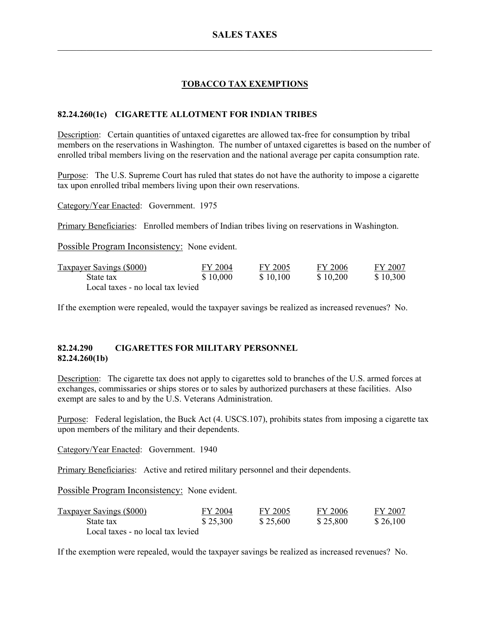# **TOBACCO TAX EXEMPTIONS**

## **82.24.260(1c) CIGARETTE ALLOTMENT FOR INDIAN TRIBES**

Description: Certain quantities of untaxed cigarettes are allowed tax-free for consumption by tribal members on the reservations in Washington. The number of untaxed cigarettes is based on the number of enrolled tribal members living on the reservation and the national average per capita consumption rate.

Purpose: The U.S. Supreme Court has ruled that states do not have the authority to impose a cigarette tax upon enrolled tribal members living upon their own reservations.

Category/Year Enacted: Government. 1975

Primary Beneficiaries: Enrolled members of Indian tribes living on reservations in Washington.

Possible Program Inconsistency: None evident.

| <b>Taxpayer Savings (\$000)</b>   | FY 2004  | FY 2005  | FY 2006  | FY 2007  |
|-----------------------------------|----------|----------|----------|----------|
| State tax                         | \$10,000 | \$10,100 | \$10,200 | \$10,300 |
| Local taxes - no local tax levied |          |          |          |          |

If the exemption were repealed, would the taxpayer savings be realized as increased revenues? No.

### **82.24.290 CIGARETTES FOR MILITARY PERSONNEL 82.24.260(1b)**

Description: The cigarette tax does not apply to cigarettes sold to branches of the U.S. armed forces at exchanges, commissaries or ships stores or to sales by authorized purchasers at these facilities. Also exempt are sales to and by the U.S. Veterans Administration.

Purpose: Federal legislation, the Buck Act (4. USCS.107), prohibits states from imposing a cigarette tax upon members of the military and their dependents.

Category/Year Enacted: Government. 1940

Primary Beneficiaries: Active and retired military personnel and their dependents.

Possible Program Inconsistency: None evident.

| Taxpayer Savings (\$000)          | FY 2004  | FY 2005  | FY 2006  | FY 2007  |
|-----------------------------------|----------|----------|----------|----------|
| State tax                         | \$25,300 | \$25,600 | \$25,800 | \$26,100 |
| Local taxes - no local tax levied |          |          |          |          |

If the exemption were repealed, would the taxpayer savings be realized as increased revenues? No.